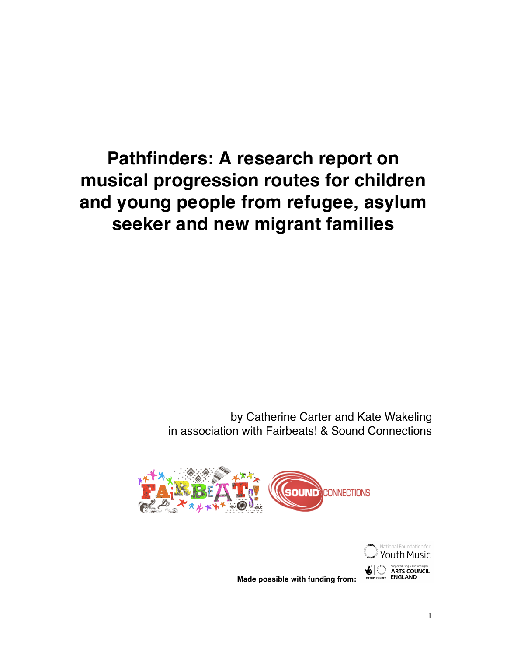# **Pathfinders: A research report on musical progression routes for children and young people from refugee, asylum seeker and new migrant families**

by Catherine Carter and Kate Wakeling in association with Fairbeats! & Sound Connections





**Made possible with funding from:**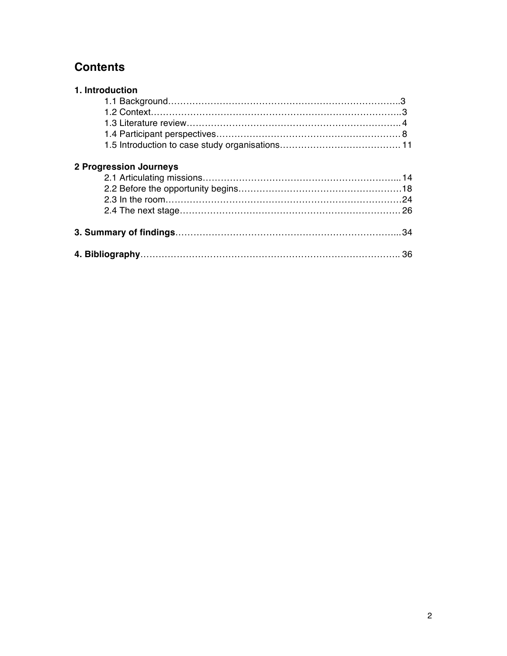## **Contents**

| 1. Introduction               |  |
|-------------------------------|--|
|                               |  |
|                               |  |
|                               |  |
|                               |  |
|                               |  |
| <b>2 Progression Journeys</b> |  |
|                               |  |
|                               |  |
|                               |  |
|                               |  |
|                               |  |
|                               |  |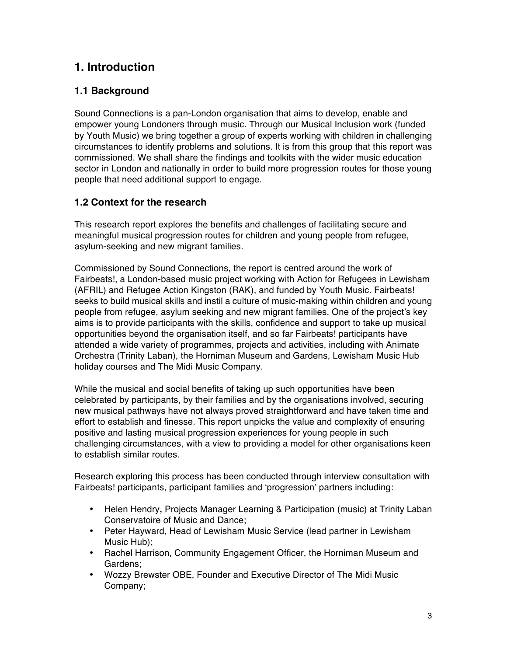### **1. Introduction**

### **1.1 Background**

Sound Connections is a pan-London organisation that aims to develop, enable and empower young Londoners through music. Through our Musical Inclusion work (funded by Youth Music) we bring together a group of experts working with children in challenging circumstances to identify problems and solutions. It is from this group that this report was commissioned. We shall share the findings and toolkits with the wider music education sector in London and nationally in order to build more progression routes for those young people that need additional support to engage.

### **1.2 Context for the research**

This research report explores the benefits and challenges of facilitating secure and meaningful musical progression routes for children and young people from refugee, asylum-seeking and new migrant families.

Commissioned by Sound Connections, the report is centred around the work of Fairbeats!, a London-based music project working with Action for Refugees in Lewisham (AFRIL) and Refugee Action Kingston (RAK), and funded by Youth Music. Fairbeats! seeks to build musical skills and instil a culture of music-making within children and young people from refugee, asylum seeking and new migrant families. One of the project's key aims is to provide participants with the skills, confidence and support to take up musical opportunities beyond the organisation itself, and so far Fairbeats! participants have attended a wide variety of programmes, projects and activities, including with Animate Orchestra (Trinity Laban), the Horniman Museum and Gardens, Lewisham Music Hub holiday courses and The Midi Music Company.

While the musical and social benefits of taking up such opportunities have been celebrated by participants, by their families and by the organisations involved, securing new musical pathways have not always proved straightforward and have taken time and effort to establish and finesse. This report unpicks the value and complexity of ensuring positive and lasting musical progression experiences for young people in such challenging circumstances, with a view to providing a model for other organisations keen to establish similar routes.

Research exploring this process has been conducted through interview consultation with Fairbeats! participants, participant families and ʻprogression' partners including:

- Helen Hendry**,** Projects Manager Learning & Participation (music) at Trinity Laban Conservatoire of Music and Dance;
- Peter Hayward, Head of Lewisham Music Service (lead partner in Lewisham Music Hub);
- Rachel Harrison, Community Engagement Officer, the Horniman Museum and Gardens;
- Wozzy Brewster OBE, Founder and Executive Director of The Midi Music Company;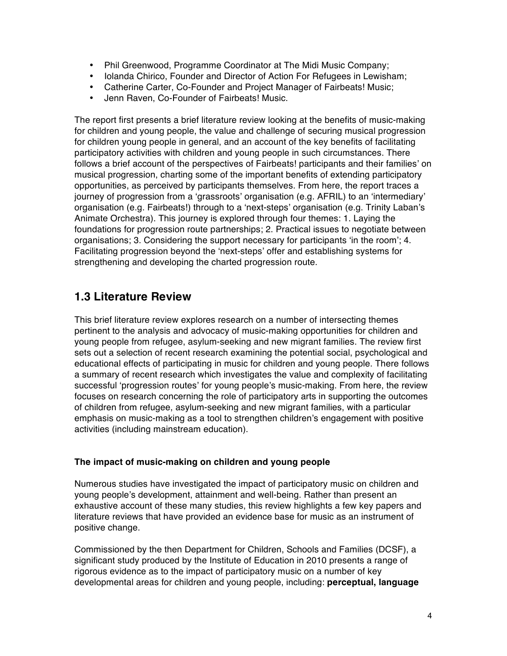- Phil Greenwood, Programme Coordinator at The Midi Music Company;
- Iolanda Chirico, Founder and Director of Action For Refugees in Lewisham;
- Catherine Carter, Co-Founder and Project Manager of Fairbeats! Music;
- Jenn Raven, Co-Founder of Fairbeats! Music.

The report first presents a brief literature review looking at the benefits of music-making for children and young people, the value and challenge of securing musical progression for children young people in general, and an account of the key benefits of facilitating participatory activities with children and young people in such circumstances. There follows a brief account of the perspectives of Fairbeats! participants and their families' on musical progression, charting some of the important benefits of extending participatory opportunities, as perceived by participants themselves. From here, the report traces a journey of progression from a ʻgrassroots' organisation (e.g. AFRIL) to an ʻintermediary' organisation (e.g. Fairbeats!) through to a ʻnext-steps' organisation (e.g. Trinity Laban's Animate Orchestra). This journey is explored through four themes: 1. Laying the foundations for progression route partnerships; 2. Practical issues to negotiate between organisations; 3. Considering the support necessary for participants ʻin the room'; 4. Facilitating progression beyond the ʻnext-steps' offer and establishing systems for strengthening and developing the charted progression route.

### **1.3 Literature Review**

This brief literature review explores research on a number of intersecting themes pertinent to the analysis and advocacy of music-making opportunities for children and young people from refugee, asylum-seeking and new migrant families. The review first sets out a selection of recent research examining the potential social, psychological and educational effects of participating in music for children and young people. There follows a summary of recent research which investigates the value and complexity of facilitating successful ʻprogression routes' for young people's music-making. From here, the review focuses on research concerning the role of participatory arts in supporting the outcomes of children from refugee, asylum-seeking and new migrant families, with a particular emphasis on music-making as a tool to strengthen children's engagement with positive activities (including mainstream education).

### **The impact of music-making on children and young people**

Numerous studies have investigated the impact of participatory music on children and young people's development, attainment and well-being. Rather than present an exhaustive account of these many studies, this review highlights a few key papers and literature reviews that have provided an evidence base for music as an instrument of positive change.

Commissioned by the then Department for Children, Schools and Families (DCSF), a significant study produced by the Institute of Education in 2010 presents a range of rigorous evidence as to the impact of participatory music on a number of key developmental areas for children and young people, including: **perceptual, language**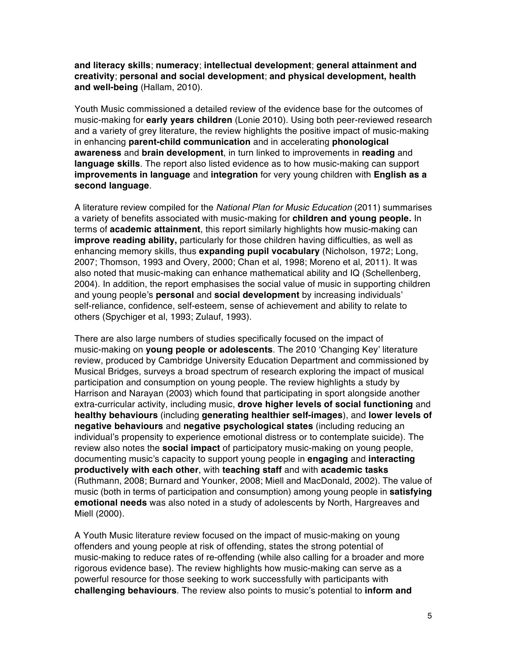**and literacy skills**; **numeracy**; **intellectual development**; **general attainment and creativity**; **personal and social development**; **and physical development, health and well-being** (Hallam, 2010).

Youth Music commissioned a detailed review of the evidence base for the outcomes of music-making for **early years children** (Lonie 2010). Using both peer-reviewed research and a variety of grey literature, the review highlights the positive impact of music-making in enhancing **parent-child communication** and in accelerating **phonological awareness** and **brain development**, in turn linked to improvements in **reading** and **language skills**. The report also listed evidence as to how music-making can support **improvements in language** and **integration** for very young children with **English as a second language**.

A literature review compiled for the *National Plan for Music Education* (2011) summarises a variety of benefits associated with music-making for **children and young people.** In terms of **academic attainment**, this report similarly highlights how music-making can **improve reading ability,** particularly for those children having difficulties, as well as enhancing memory skills, thus **expanding pupil vocabulary** (Nicholson, 1972; Long, 2007; Thomson, 1993 and Overy, 2000; Chan et al, 1998; Moreno et al, 2011). It was also noted that music-making can enhance mathematical ability and IQ (Schellenberg, 2004). In addition, the report emphasises the social value of music in supporting children and young people's **personal** and **social development** by increasing individuals' self-reliance, confidence, self-esteem, sense of achievement and ability to relate to others (Spychiger et al, 1993; Zulauf, 1993).

There are also large numbers of studies specifically focused on the impact of music-making on **young people or adolescents**. The 2010 ʻChanging Key' literature review, produced by Cambridge University Education Department and commissioned by Musical Bridges, surveys a broad spectrum of research exploring the impact of musical participation and consumption on young people. The review highlights a study by Harrison and Narayan (2003) which found that participating in sport alongside another extra-curricular activity, including music, **drove higher levels of social functioning** and **healthy behaviours** (including **generating healthier self-images**), and **lower levels of negative behaviours** and **negative psychological states** (including reducing an individual's propensity to experience emotional distress or to contemplate suicide). The review also notes the **social impact** of participatory music-making on young people, documenting music's capacity to support young people in **engaging** and **interacting productively with each other**, with **teaching staff** and with **academic tasks** (Ruthmann, 2008; Burnard and Younker, 2008; Miell and MacDonald, 2002). The value of music (both in terms of participation and consumption) among young people in **satisfying emotional needs** was also noted in a study of adolescents by North, Hargreaves and Miell (2000).

A Youth Music literature review focused on the impact of music-making on young offenders and young people at risk of offending, states the strong potential of music-making to reduce rates of re-offending (while also calling for a broader and more rigorous evidence base). The review highlights how music-making can serve as a powerful resource for those seeking to work successfully with participants with **challenging behaviours**. The review also points to music's potential to **inform and**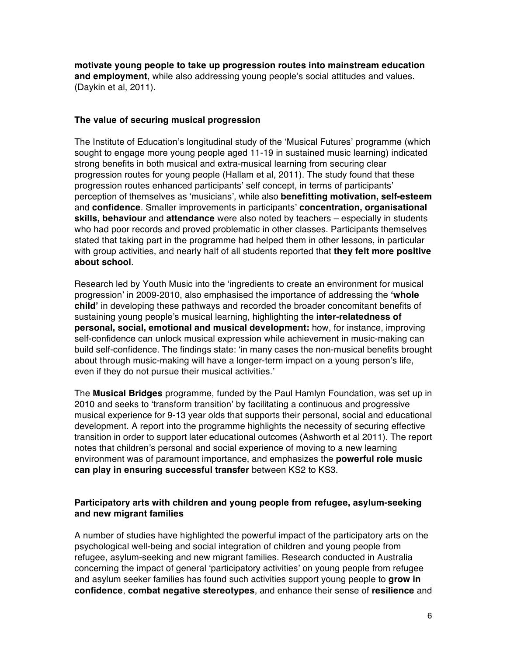**motivate young people to take up progression routes into mainstream education and employment**, while also addressing young people's social attitudes and values. (Daykin et al, 2011).

### **The value of securing musical progression**

The Institute of Education's longitudinal study of the ʻMusical Futures' programme (which sought to engage more young people aged 11-19 in sustained music learning) indicated strong benefits in both musical and extra-musical learning from securing clear progression routes for young people (Hallam et al, 2011). The study found that these progression routes enhanced participants' self concept, in terms of participants' perception of themselves as ʻmusicians', while also **benefitting motivation, self-esteem** and **confidence**. Smaller improvements in participants' **concentration, organisational skills, behaviour** and **attendance** were also noted by teachers – especially in students who had poor records and proved problematic in other classes. Participants themselves stated that taking part in the programme had helped them in other lessons, in particular with group activities, and nearly half of all students reported that **they felt more positive about school**.

Research led by Youth Music into the ʻingredients to create an environment for musical progression' in 2009-2010, also emphasised the importance of addressing the **ʻwhole child'** in developing these pathways and recorded the broader concomitant benefits of sustaining young people's musical learning, highlighting the **inter-relatedness of personal, social, emotional and musical development:** how, for instance, improving self-confidence can unlock musical expression while achievement in music-making can build self-confidence. The findings state: ʻin many cases the non-musical benefits brought about through music-making will have a longer-term impact on a young person's life, even if they do not pursue their musical activities.'

The **Musical Bridges** programme, funded by the Paul Hamlyn Foundation, was set up in 2010 and seeks to ʻtransform transition' by facilitating a continuous and progressive musical experience for 9-13 year olds that supports their personal, social and educational development. A report into the programme highlights the necessity of securing effective transition in order to support later educational outcomes (Ashworth et al 2011). The report notes that children's personal and social experience of moving to a new learning environment was of paramount importance, and emphasizes the **powerful role music can play in ensuring successful transfer** between KS2 to KS3.

### **Participatory arts with children and young people from refugee, asylum-seeking and new migrant families**

A number of studies have highlighted the powerful impact of the participatory arts on the psychological well-being and social integration of children and young people from refugee, asylum-seeking and new migrant families. Research conducted in Australia concerning the impact of general ʻparticipatory activities' on young people from refugee and asylum seeker families has found such activities support young people to **grow in confidence**, **combat negative stereotypes**, and enhance their sense of **resilience** and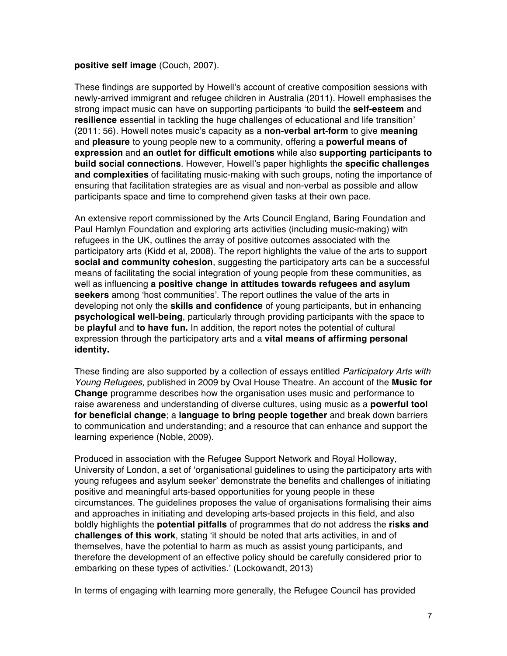#### **positive self image** (Couch, 2007).

These findings are supported by Howell's account of creative composition sessions with newly-arrived immigrant and refugee children in Australia (2011). Howell emphasises the strong impact music can have on supporting participants ʻto build the **self-esteem** and **resilience** essential in tackling the huge challenges of educational and life transition' (2011: 56). Howell notes music's capacity as a **non-verbal art-form** to give **meaning** and **pleasure** to young people new to a community, offering a **powerful means of expression** and **an outlet for difficult emotions** while also **supporting participants to build social connections**. However, Howell's paper highlights the **specific challenges and complexities** of facilitating music-making with such groups, noting the importance of ensuring that facilitation strategies are as visual and non-verbal as possible and allow participants space and time to comprehend given tasks at their own pace.

An extensive report commissioned by the Arts Council England, Baring Foundation and Paul Hamlyn Foundation and exploring arts activities (including music-making) with refugees in the UK, outlines the array of positive outcomes associated with the participatory arts (Kidd et al, 2008). The report highlights the value of the arts to support **social and community cohesion**, suggesting the participatory arts can be a successful means of facilitating the social integration of young people from these communities, as well as influencing **a positive change in attitudes towards refugees and asylum seekers** among ʻhost communities'. The report outlines the value of the arts in developing not only the **skills and confidence** of young participants, but in enhancing **psychological well-being**, particularly through providing participants with the space to be **playful** and **to have fun.** In addition, the report notes the potential of cultural expression through the participatory arts and a **vital means of affirming personal identity.** 

These finding are also supported by a collection of essays entitled *Participatory Arts with Young Refugees,* published in 2009 by Oval House Theatre. An account of the **Music for Change** programme describes how the organisation uses music and performance to raise awareness and understanding of diverse cultures, using music as a **powerful tool for beneficial change**; a **language to bring people together** and break down barriers to communication and understanding; and a resource that can enhance and support the learning experience (Noble, 2009).

Produced in association with the Refugee Support Network and Royal Holloway, University of London, a set of ʻorganisational guidelines to using the participatory arts with young refugees and asylum seeker' demonstrate the benefits and challenges of initiating positive and meaningful arts-based opportunities for young people in these circumstances. The guidelines proposes the value of organisations formalising their aims and approaches in initiating and developing arts-based projects in this field, and also boldly highlights the **potential pitfalls** of programmes that do not address the **risks and challenges of this work**, stating ʻit should be noted that arts activities, in and of themselves, have the potential to harm as much as assist young participants, and therefore the development of an effective policy should be carefully considered prior to embarking on these types of activities.' (Lockowandt, 2013)

In terms of engaging with learning more generally, the Refugee Council has provided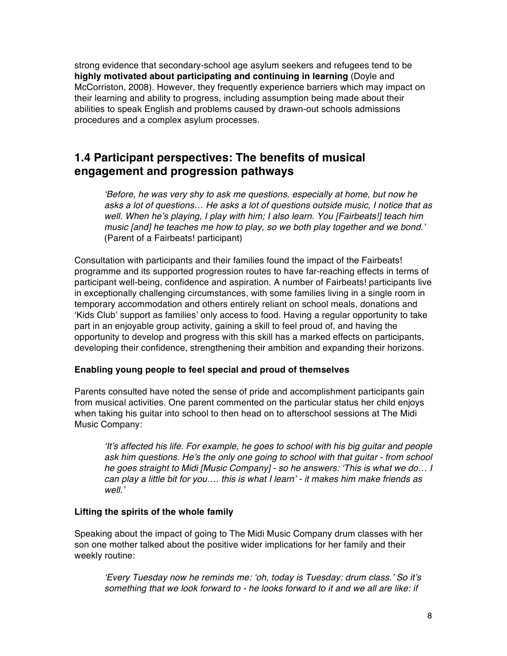strong evidence that secondary-school age asylum seekers and refugees tend to be **highly motivated about participating and continuing in learning** (Doyle and McCorriston, 2008). However, they frequently experience barriers which may impact on their learning and ability to progress, including assumption being made about their abilities to speak English and problems caused by drawn-out schools admissions procedures and a complex asylum processes.

### **1.4 Participant perspectives: The benefits of musical engagement and progression pathways**

ʻ*Before, he was very shy to ask me questions, especially at home, but now he asks a lot of questions… He asks a lot of questions outside music, I notice that as well. When he*'*s playing, I play with him; I also learn. You [Fairbeats!] teach him music [and] he teaches me how to play, so we both play together and we bond.*' (Parent of a Fairbeats! participant)

Consultation with participants and their families found the impact of the Fairbeats! programme and its supported progression routes to have far-reaching effects in terms of participant well-being, confidence and aspiration. A number of Fairbeats! participants live in exceptionally challenging circumstances, with some families living in a single room in temporary accommodation and others entirely reliant on school meals, donations and ʻKids Club' support as families' only access to food. Having a regular opportunity to take part in an enjoyable group activity, gaining a skill to feel proud of, and having the opportunity to develop and progress with this skill has a marked effects on participants, developing their confidence, strengthening their ambition and expanding their horizons.

### **Enabling young people to feel special and proud of themselves**

Parents consulted have noted the sense of pride and accomplishment participants gain from musical activities. One parent commented on the particular status her child enjoys when taking his guitar into school to then head on to afterschool sessions at The Midi Music Company:

ʻ*It*'*s affected his life. For example, he goes to school with his big guitar and people ask him questions. He*'*s the only one going to school with that guitar - from school he goes straight to Midi [Music Company] - so he answers:* ʻ*This is what we do… I can play a little bit for you…. this is what I learn*' *- it makes him make friends as well.*'

### **Lifting the spirits of the whole family**

Speaking about the impact of going to The Midi Music Company drum classes with her son one mother talked about the positive wider implications for her family and their weekly routine:

ʻ*Every Tuesday now he reminds me:* ʻ*oh, today is Tuesday: drum class.*' *So it*'*s something that we look forward to - he looks forward to it and we all are like: if*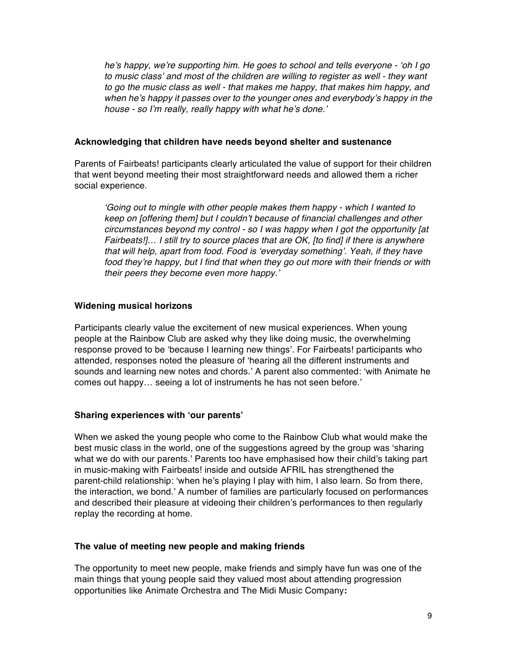*he*'*s happy, we*'*re supporting him. He goes to school and tells everyone -* ʻ*oh I go to music class*' *and most of the children are willing to register as well - they want to go the music class as well - that makes me happy, that makes him happy, and when he*'*s happy it passes over to the younger ones and everybody*'*s happy in the house - so I*'*m really, really happy with what he*'*s done.*'

### **Acknowledging that children have needs beyond shelter and sustenance**

Parents of Fairbeats! participants clearly articulated the value of support for their children that went beyond meeting their most straightforward needs and allowed them a richer social experience.

ʻ*Going out to mingle with other people makes them happy - which I wanted to keep on [offering them] but I couldn*'*t because of financial challenges and other circumstances beyond my control - so I was happy when I got the opportunity [at Fairbeats!]… I still try to source places that are OK, [to find] if there is anywhere that will help, apart from food. Food is* ʻ*everyday something*'*. Yeah, if they have food they*'*re happy, but I find that when they go out more with their friends or with their peers they become even more happy.*'

### **Widening musical horizons**

Participants clearly value the excitement of new musical experiences. When young people at the Rainbow Club are asked why they like doing music, the overwhelming response proved to be ʻbecause I learning new things'. For Fairbeats! participants who attended, responses noted the pleasure of ʻhearing all the different instruments and sounds and learning new notes and chords.' A parent also commented: ʻwith Animate he comes out happy… seeing a lot of instruments he has not seen before.'

### **Sharing experiences with ʻour parents'**

When we asked the young people who come to the Rainbow Club what would make the best music class in the world, one of the suggestions agreed by the group was ʻsharing what we do with our parents.' Parents too have emphasised how their child's taking part in music-making with Fairbeats! inside and outside AFRIL has strengthened the parent-child relationship: ʻwhen he's playing I play with him, I also learn. So from there, the interaction, we bond.' A number of families are particularly focused on performances and described their pleasure at videoing their children's performances to then regularly replay the recording at home.

### **The value of meeting new people and making friends**

The opportunity to meet new people, make friends and simply have fun was one of the main things that young people said they valued most about attending progression opportunities like Animate Orchestra and The Midi Music Company**:**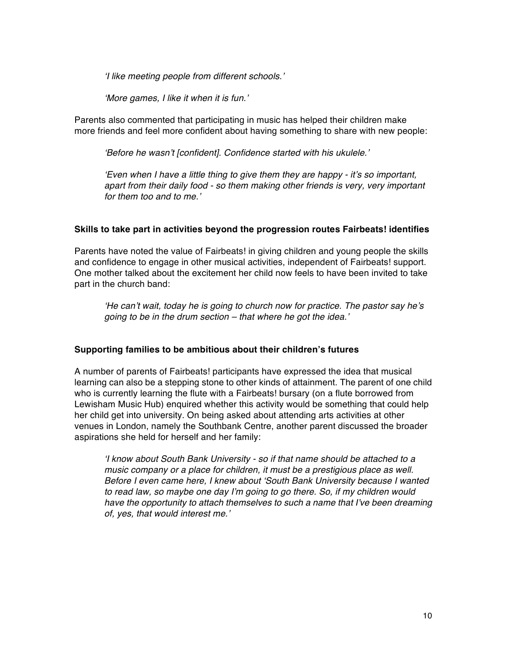ʻ*I like meeting people from different schools.*'

ʻ*More games, I like it when it is fun.*'

Parents also commented that participating in music has helped their children make more friends and feel more confident about having something to share with new people:

ʻ*Before he wasn*'*t [confident]. Confidence started with his ukulele.*'

ʻ*Even when I have a little thing to give them they are happy - it*'*s so important, apart from their daily food - so them making other friends is very, very important for them too and to me.*'

### **Skills to take part in activities beyond the progression routes Fairbeats! identifies**

Parents have noted the value of Fairbeats! in giving children and young people the skills and confidence to engage in other musical activities, independent of Fairbeats! support. One mother talked about the excitement her child now feels to have been invited to take part in the church band:

ʻ*He can*'*t wait, today he is going to church now for practice. The pastor say he*'*s going to be in the drum section – that where he got the idea.*'

### **Supporting families to be ambitious about their children's futures**

A number of parents of Fairbeats! participants have expressed the idea that musical learning can also be a stepping stone to other kinds of attainment. The parent of one child who is currently learning the flute with a Fairbeats! bursary (on a flute borrowed from Lewisham Music Hub) enquired whether this activity would be something that could help her child get into university. On being asked about attending arts activities at other venues in London, namely the Southbank Centre, another parent discussed the broader aspirations she held for herself and her family:

ʻ*I know about South Bank University - so if that name should be attached to a music company or a place for children, it must be a prestigious place as well. Before I even came here, I knew about* ʻ*South Bank University because I wanted to read law, so maybe one day I*'*m going to go there. So, if my children would have the opportunity to attach themselves to such a name that I*'*ve been dreaming of, yes, that would interest me.*'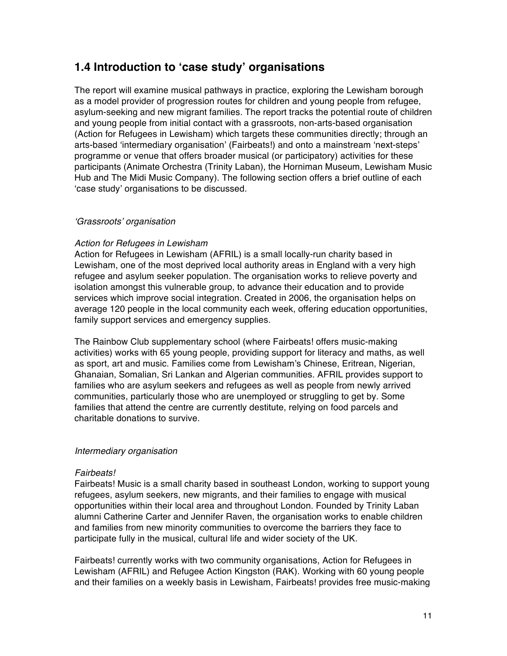### **1.4 Introduction to ʻcase study' organisations**

The report will examine musical pathways in practice, exploring the Lewisham borough as a model provider of progression routes for children and young people from refugee, asylum-seeking and new migrant families. The report tracks the potential route of children and young people from initial contact with a grassroots, non-arts-based organisation (Action for Refugees in Lewisham) which targets these communities directly; through an arts-based ʻintermediary organisation' (Fairbeats!) and onto a mainstream ʻnext-steps' programme or venue that offers broader musical (or participatory) activities for these participants (Animate Orchestra (Trinity Laban), the Horniman Museum, Lewisham Music Hub and The Midi Music Company). The following section offers a brief outline of each ʻcase study' organisations to be discussed.

### ʻ*Grassroots*' *organisation*

### *Action for Refugees in Lewisham*

Action for Refugees in Lewisham (AFRIL) is a small locally-run charity based in Lewisham, one of the most deprived local authority areas in England with a very high refugee and asylum seeker population. The organisation works to relieve poverty and isolation amongst this vulnerable group, to advance their education and to provide services which improve social integration. Created in 2006, the organisation helps on average 120 people in the local community each week, offering education opportunities, family support services and emergency supplies.

The Rainbow Club supplementary school (where Fairbeats! offers music-making activities) works with 65 young people, providing support for literacy and maths, as well as sport, art and music. Families come from Lewisham's Chinese, Eritrean, Nigerian, Ghanaian, Somalian, Sri Lankan and Algerian communities. AFRIL provides support to families who are asylum seekers and refugees as well as people from newly arrived communities, particularly those who are unemployed or struggling to get by. Some families that attend the centre are currently destitute, relying on food parcels and charitable donations to survive.

### *Intermediary organisation*

### *Fairbeats!*

Fairbeats! Music is a small charity based in southeast London, working to support young refugees, asylum seekers, new migrants, and their families to engage with musical opportunities within their local area and throughout London. Founded by Trinity Laban alumni Catherine Carter and Jennifer Raven, the organisation works to enable children and families from new minority communities to overcome the barriers they face to participate fully in the musical, cultural life and wider society of the UK.

Fairbeats! currently works with two community organisations, Action for Refugees in Lewisham (AFRIL) and Refugee Action Kingston (RAK). Working with 60 young people and their families on a weekly basis in Lewisham, Fairbeats! provides free music-making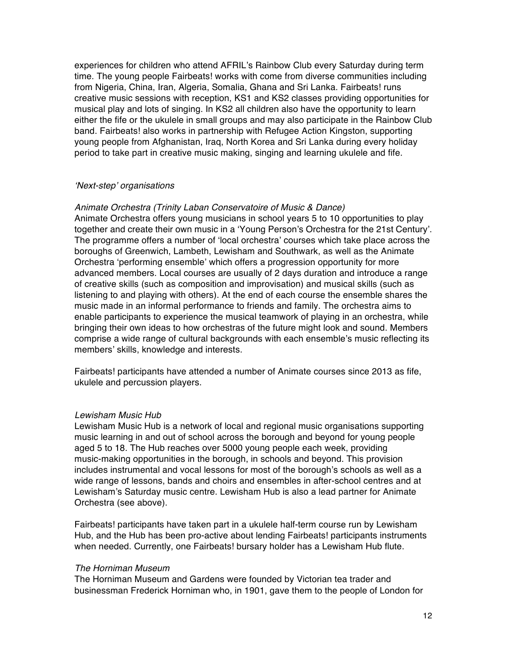experiences for children who attend AFRIL's Rainbow Club every Saturday during term time. The young people Fairbeats! works with come from diverse communities including from Nigeria, China, Iran, Algeria, Somalia, Ghana and Sri Lanka. Fairbeats! runs creative music sessions with reception, KS1 and KS2 classes providing opportunities for musical play and lots of singing. In KS2 all children also have the opportunity to learn either the fife or the ukulele in small groups and may also participate in the Rainbow Club band. Fairbeats! also works in partnership with Refugee Action Kingston, supporting young people from Afghanistan, Iraq, North Korea and Sri Lanka during every holiday period to take part in creative music making, singing and learning ukulele and fife.

#### ʻ*Next-step*' *organisations*

#### *Animate Orchestra (Trinity Laban Conservatoire of Music & Dance)*

Animate Orchestra offers young musicians in school years 5 to 10 opportunities to play together and create their own music in a ʻYoung Person's Orchestra for the 21st Century'. The programme offers a number of ʻlocal orchestra' courses which take place across the boroughs of Greenwich, Lambeth, Lewisham and Southwark, as well as the Animate Orchestra ʻperforming ensemble' which offers a progression opportunity for more advanced members. Local courses are usually of 2 days duration and introduce a range of creative skills (such as composition and improvisation) and musical skills (such as listening to and playing with others). At the end of each course the ensemble shares the music made in an informal performance to friends and family. The orchestra aims to enable participants to experience the musical teamwork of playing in an orchestra, while bringing their own ideas to how orchestras of the future might look and sound. Members comprise a wide range of cultural backgrounds with each ensemble's music reflecting its members' skills, knowledge and interests.

Fairbeats! participants have attended a number of Animate courses since 2013 as fife, ukulele and percussion players.

#### *Lewisham Music Hub*

Lewisham Music Hub is a network of local and regional music organisations supporting music learning in and out of school across the borough and beyond for young people aged 5 to 18. The Hub reaches over 5000 young people each week, providing music-making opportunities in the borough, in schools and beyond. This provision includes instrumental and vocal lessons for most of the borough's schools as well as a wide range of lessons, bands and choirs and ensembles in after-school centres and at Lewisham's Saturday music centre. Lewisham Hub is also a lead partner for Animate Orchestra (see above).

Fairbeats! participants have taken part in a ukulele half-term course run by Lewisham Hub, and the Hub has been pro-active about lending Fairbeats! participants instruments when needed. Currently, one Fairbeats! bursary holder has a Lewisham Hub flute.

#### *The Horniman Museum*

The Horniman Museum and Gardens were founded by Victorian tea trader and businessman Frederick Horniman who, in 1901, gave them to the people of London for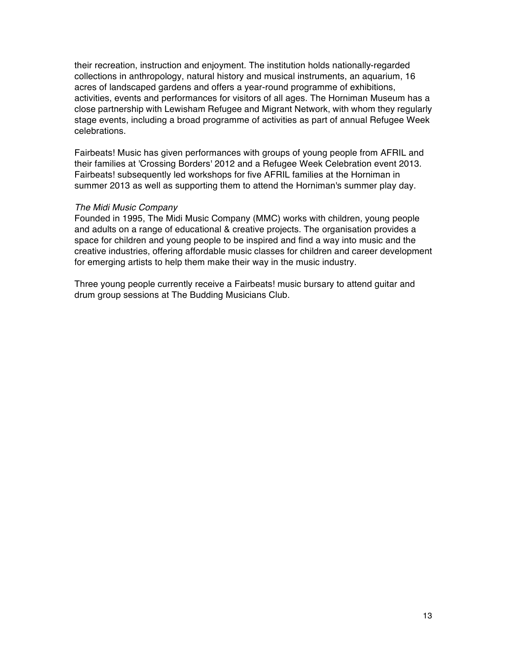their recreation, instruction and enjoyment. The institution holds nationally-regarded collections in anthropology, natural history and musical instruments, an aquarium, 16 acres of landscaped gardens and offers a year-round programme of exhibitions, activities, events and performances for visitors of all ages. The Horniman Museum has a close partnership with Lewisham Refugee and Migrant Network, with whom they regularly stage events, including a broad programme of activities as part of annual Refugee Week celebrations.

Fairbeats! Music has given performances with groups of young people from AFRIL and their families at 'Crossing Borders' 2012 and a Refugee Week Celebration event 2013. Fairbeats! subsequently led workshops for five AFRIL families at the Horniman in summer 2013 as well as supporting them to attend the Horniman's summer play day.

### *The Midi Music Company*

Founded in 1995, The Midi Music Company (MMC) works with children, young people and adults on a range of educational & creative projects. The organisation provides a space for children and young people to be inspired and find a way into music and the creative industries, offering affordable music classes for children and career development for emerging artists to help them make their way in the music industry.

Three young people currently receive a Fairbeats! music bursary to attend guitar and drum group sessions at The Budding Musicians Club.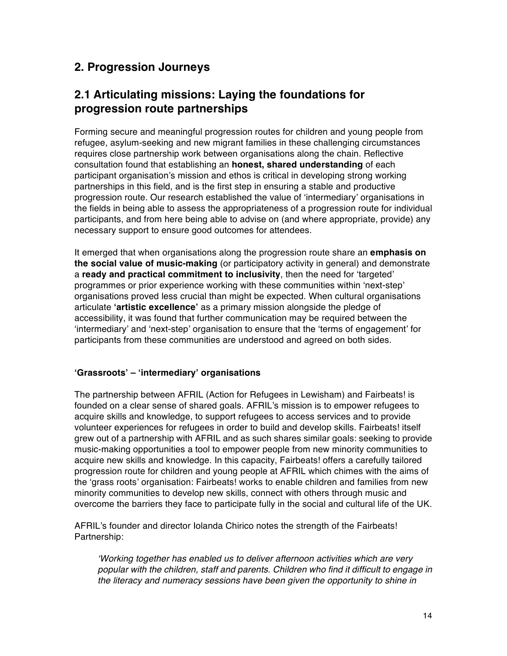### **2. Progression Journeys**

### **2.1 Articulating missions: Laying the foundations for progression route partnerships**

Forming secure and meaningful progression routes for children and young people from refugee, asylum-seeking and new migrant families in these challenging circumstances requires close partnership work between organisations along the chain. Reflective consultation found that establishing an **honest, shared understanding** of each participant organisation's mission and ethos is critical in developing strong working partnerships in this field, and is the first step in ensuring a stable and productive progression route. Our research established the value of ʻintermediary' organisations in the fields in being able to assess the appropriateness of a progression route for individual participants, and from here being able to advise on (and where appropriate, provide) any necessary support to ensure good outcomes for attendees.

It emerged that when organisations along the progression route share an **emphasis on the social value of music-making** (or participatory activity in general) and demonstrate a **ready and practical commitment to inclusivity**, then the need for ʻtargeted' programmes or prior experience working with these communities within ʻnext-step' organisations proved less crucial than might be expected. When cultural organisations articulate **ʻartistic excellence'** as a primary mission alongside the pledge of accessibility, it was found that further communication may be required between the ʻintermediary' and ʻnext-step' organisation to ensure that the ʻterms of engagement' for participants from these communities are understood and agreed on both sides.

### **ʻGrassroots' – ʻintermediary' organisations**

The partnership between AFRIL (Action for Refugees in Lewisham) and Fairbeats! is founded on a clear sense of shared goals. AFRIL's mission is to empower refugees to acquire skills and knowledge, to support refugees to access services and to provide volunteer experiences for refugees in order to build and develop skills. Fairbeats! itself grew out of a partnership with AFRIL and as such shares similar goals: seeking to provide music-making opportunities a tool to empower people from new minority communities to acquire new skills and knowledge. In this capacity, Fairbeats! offers a carefully tailored progression route for children and young people at AFRIL which chimes with the aims of the ʻgrass roots' organisation: Fairbeats! works to enable children and families from new minority communities to develop new skills, connect with others through music and overcome the barriers they face to participate fully in the social and cultural life of the UK.

AFRIL's founder and director Iolanda Chirico notes the strength of the Fairbeats! Partnership:

ʻ*Working together has enabled us to deliver afternoon activities which are very popular with the children, staff and parents. Children who find it difficult to engage in the literacy and numeracy sessions have been given the opportunity to shine in*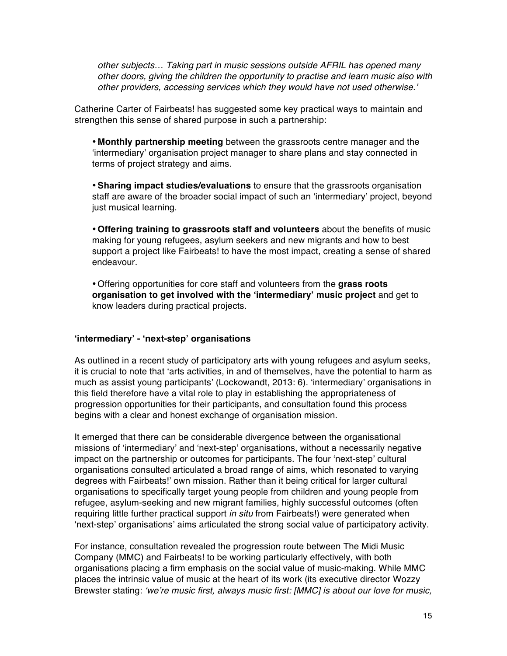*other subjects… Taking part in music sessions outside AFRIL has opened many other doors, giving the children the opportunity to practise and learn music also with other providers, accessing services which they would have not used otherwise.*'

Catherine Carter of Fairbeats! has suggested some key practical ways to maintain and strengthen this sense of shared purpose in such a partnership:

• **Monthly partnership meeting** between the grassroots centre manager and the ʻintermediary' organisation project manager to share plans and stay connected in terms of project strategy and aims.

•**Sharing impact studies/evaluations** to ensure that the grassroots organisation staff are aware of the broader social impact of such an ʻintermediary' project, beyond just musical learning.

• **Offering training to grassroots staff and volunteers** about the benefits of music making for young refugees, asylum seekers and new migrants and how to best support a project like Fairbeats! to have the most impact, creating a sense of shared endeavour.

• Offering opportunities for core staff and volunteers from the **grass roots organisation to get involved with the ʻintermediary' music project** and get to know leaders during practical projects.

### **ʻintermediary' - ʻnext-step' organisations**

As outlined in a recent study of participatory arts with young refugees and asylum seeks, it is crucial to note that ʻarts activities, in and of themselves, have the potential to harm as much as assist young participants' (Lockowandt, 2013: 6). ʻintermediary' organisations in this field therefore have a vital role to play in establishing the appropriateness of progression opportunities for their participants, and consultation found this process begins with a clear and honest exchange of organisation mission.

It emerged that there can be considerable divergence between the organisational missions of ʻintermediary' and ʻnext-step' organisations, without a necessarily negative impact on the partnership or outcomes for participants. The four ʻnext-step' cultural organisations consulted articulated a broad range of aims, which resonated to varying degrees with Fairbeats!' own mission. Rather than it being critical for larger cultural organisations to specifically target young people from children and young people from refugee, asylum-seeking and new migrant families, highly successful outcomes (often requiring little further practical support *in situ* from Fairbeats!) were generated when ʻnext-step' organisations' aims articulated the strong social value of participatory activity.

For instance, consultation revealed the progression route between The Midi Music Company (MMC) and Fairbeats! to be working particularly effectively, with both organisations placing a firm emphasis on the social value of music-making. While MMC places the intrinsic value of music at the heart of its work (its executive director Wozzy Brewster stating: ʻ*we*'*re music first, always music first: [MMC] is about our love for music,*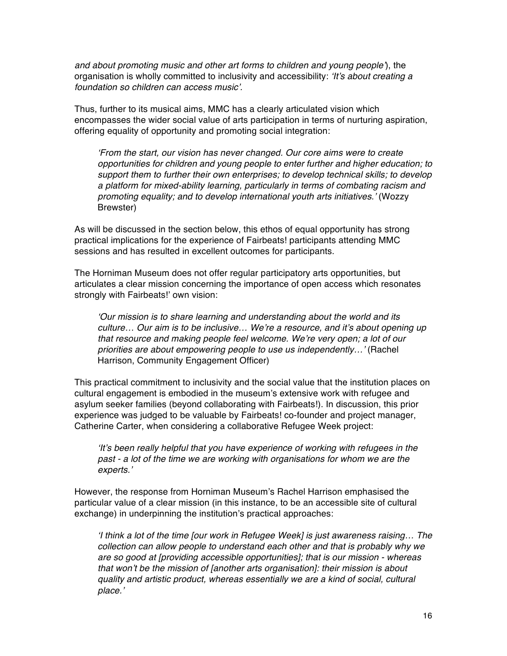*and about promoting music and other art forms to children and young people*'), the organisation is wholly committed to inclusivity and accessibility: ʻ*It*'*s about creating a foundation so children can access music*'*.*

Thus, further to its musical aims, MMC has a clearly articulated vision which encompasses the wider social value of arts participation in terms of nurturing aspiration, offering equality of opportunity and promoting social integration:

ʻ*From the start, our vision has never changed. Our core aims were to create opportunities for children and young people to enter further and higher education; to support them to further their own enterprises; to develop technical skills; to develop a platform for mixed-ability learning, particularly in terms of combating racism and promoting equality; and to develop international youth arts initiatives.*' (Wozzy Brewster)

As will be discussed in the section below, this ethos of equal opportunity has strong practical implications for the experience of Fairbeats! participants attending MMC sessions and has resulted in excellent outcomes for participants.

The Horniman Museum does not offer regular participatory arts opportunities, but articulates a clear mission concerning the importance of open access which resonates strongly with Fairbeats!' own vision:

ʻ*Our mission is to share learning and understanding about the world and its culture… Our aim is to be inclusive… We*'*re a resource, and it*'*s about opening up that resource and making people feel welcome. We*'*re very open; a lot of our priorities are about empowering people to use us independently…*' (Rachel Harrison, Community Engagement Officer)

This practical commitment to inclusivity and the social value that the institution places on cultural engagement is embodied in the museum's extensive work with refugee and asylum seeker families (beyond collaborating with Fairbeats!). In discussion, this prior experience was judged to be valuable by Fairbeats! co-founder and project manager, Catherine Carter, when considering a collaborative Refugee Week project:

ʻ*It*'*s been really helpful that you have experience of working with refugees in the past - a lot of the time we are working with organisations for whom we are the experts.*'

However, the response from Horniman Museum's Rachel Harrison emphasised the particular value of a clear mission (in this instance, to be an accessible site of cultural exchange) in underpinning the institution's practical approaches:

ʻ*I think a lot of the time [our work in Refugee Week] is just awareness raising… The collection can allow people to understand each other and that is probably why we are so good at [providing accessible opportunities]; that is our mission - whereas that won*'*t be the mission of [another arts organisation]: their mission is about quality and artistic product, whereas essentially we are a kind of social, cultural place.*'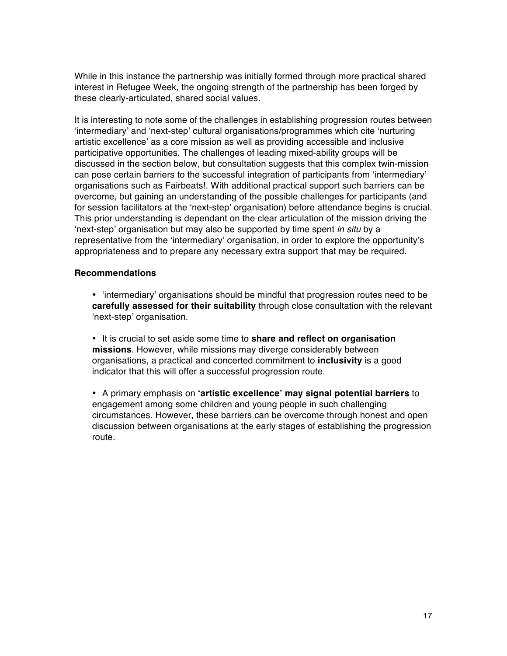While in this instance the partnership was initially formed through more practical shared interest in Refugee Week, the ongoing strength of the partnership has been forged by these clearly-articulated, shared social values.

It is interesting to note some of the challenges in establishing progression routes between ʻintermediary' and ʻnext-step' cultural organisations/programmes which cite ʻnurturing artistic excellence' as a core mission as well as providing accessible and inclusive participative opportunities. The challenges of leading mixed-ability groups will be discussed in the section below, but consultation suggests that this complex twin-mission can pose certain barriers to the successful integration of participants from ʻintermediary' organisations such as Fairbeats!. With additional practical support such barriers can be overcome, but gaining an understanding of the possible challenges for participants (and for session facilitators at the ʻnext-step' organisation) before attendance begins is crucial. This prior understanding is dependant on the clear articulation of the mission driving the ʻnext-step' organisation but may also be supported by time spent *in situ* by a representative from the ʻintermediary' organisation, in order to explore the opportunity's appropriateness and to prepare any necessary extra support that may be required.

### **Recommendations**

- ʻintermediary' organisations should be mindful that progression routes need to be **carefully assessed for their suitability** through close consultation with the relevant ʻnext-step' organisation.
- It is crucial to set aside some time to **share and reflect on organisation missions**. However, while missions may diverge considerably between organisations, a practical and concerted commitment to **inclusivity** is a good indicator that this will offer a successful progression route.
- A primary emphasis on **ʻartistic excellence' may signal potential barriers** to engagement among some children and young people in such challenging circumstances. However, these barriers can be overcome through honest and open discussion between organisations at the early stages of establishing the progression route.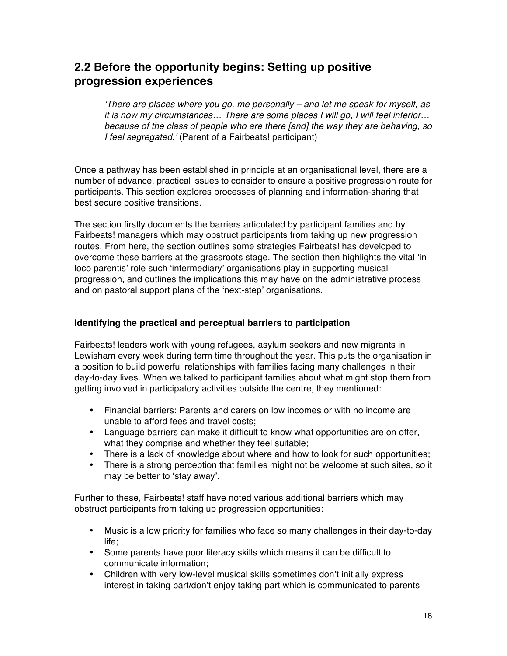### **2.2 Before the opportunity begins: Setting up positive progression experiences**

ʻ*There are places where you go, me personally – and let me speak for myself, as it is now my circumstances… There are some places I will go, I will feel inferior… because of the class of people who are there [and] the way they are behaving, so I feel segregated.*' (Parent of a Fairbeats! participant)

Once a pathway has been established in principle at an organisational level, there are a number of advance, practical issues to consider to ensure a positive progression route for participants. This section explores processes of planning and information-sharing that best secure positive transitions.

The section firstly documents the barriers articulated by participant families and by Fairbeats! managers which may obstruct participants from taking up new progression routes. From here, the section outlines some strategies Fairbeats! has developed to overcome these barriers at the grassroots stage. The section then highlights the vital ʻin loco parentis' role such ʻintermediary' organisations play in supporting musical progression, and outlines the implications this may have on the administrative process and on pastoral support plans of the ʻnext-step' organisations.

### **Identifying the practical and perceptual barriers to participation**

Fairbeats! leaders work with young refugees, asylum seekers and new migrants in Lewisham every week during term time throughout the year. This puts the organisation in a position to build powerful relationships with families facing many challenges in their day-to-day lives. When we talked to participant families about what might stop them from getting involved in participatory activities outside the centre, they mentioned:

- Financial barriers: Parents and carers on low incomes or with no income are unable to afford fees and travel costs;
- Language barriers can make it difficult to know what opportunities are on offer, what they comprise and whether they feel suitable;
- There is a lack of knowledge about where and how to look for such opportunities;
- There is a strong perception that families might not be welcome at such sites, so it may be better to ʻstay away'.

Further to these, Fairbeats! staff have noted various additional barriers which may obstruct participants from taking up progression opportunities:

- Music is a low priority for families who face so many challenges in their day-to-day life;
- Some parents have poor literacy skills which means it can be difficult to communicate information;
- Children with very low-level musical skills sometimes don't initially express interest in taking part/don't enjoy taking part which is communicated to parents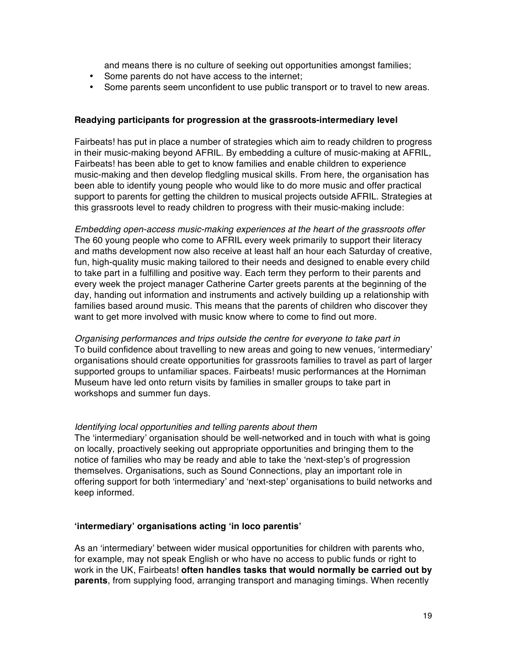and means there is no culture of seeking out opportunities amongst families;

- Some parents do not have access to the internet;
- Some parents seem unconfident to use public transport or to travel to new areas.

### **Readying participants for progression at the grassroots-intermediary level**

Fairbeats! has put in place a number of strategies which aim to ready children to progress in their music-making beyond AFRIL. By embedding a culture of music-making at AFRIL, Fairbeats! has been able to get to know families and enable children to experience music-making and then develop fledgling musical skills. From here, the organisation has been able to identify young people who would like to do more music and offer practical support to parents for getting the children to musical projects outside AFRIL. Strategies at this grassroots level to ready children to progress with their music-making include:

*Embedding open-access music-making experiences at the heart of the grassroots offer* The 60 young people who come to AFRIL every week primarily to support their literacy and maths development now also receive at least half an hour each Saturday of creative, fun, high-quality music making tailored to their needs and designed to enable every child to take part in a fulfilling and positive way. Each term they perform to their parents and every week the project manager Catherine Carter greets parents at the beginning of the day, handing out information and instruments and actively building up a relationship with families based around music. This means that the parents of children who discover they want to get more involved with music know where to come to find out more.

*Organising performances and trips outside the centre for everyone to take part in* To build confidence about travelling to new areas and going to new venues, ʻintermediary' organisations should create opportunities for grassroots families to travel as part of larger supported groups to unfamiliar spaces. Fairbeats! music performances at the Horniman Museum have led onto return visits by families in smaller groups to take part in workshops and summer fun days.

### *Identifying local opportunities and telling parents about them*

The ʻintermediary' organisation should be well-networked and in touch with what is going on locally, proactively seeking out appropriate opportunities and bringing them to the notice of families who may be ready and able to take the ʻnext-step's of progression themselves. Organisations, such as Sound Connections, play an important role in offering support for both ʻintermediary' and ʻnext-step' organisations to build networks and keep informed.

### **ʻintermediary' organisations acting ʻin loco parentis'**

As an ʻintermediary' between wider musical opportunities for children with parents who, for example, may not speak English or who have no access to public funds or right to work in the UK, Fairbeats! **often handles tasks that would normally be carried out by parents**, from supplying food, arranging transport and managing timings. When recently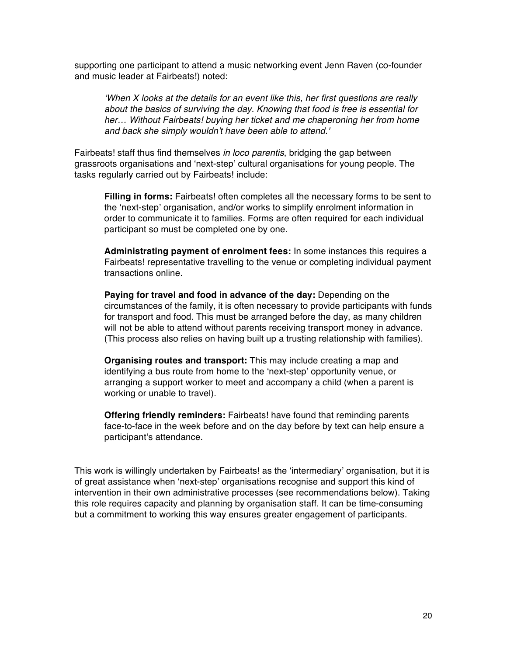supporting one participant to attend a music networking event Jenn Raven (co-founder and music leader at Fairbeats!) noted:

ʻ*When X looks at the details for an event like this, her first questions are really about the basics of surviving the day. Knowing that food is free is essential for her… Without Fairbeats! buying her ticket and me chaperoning her from home and back she simply wouldn't have been able to attend.'*

Fairbeats! staff thus find themselves *in loco parentis*, bridging the gap between grassroots organisations and ʻnext-step' cultural organisations for young people. The tasks regularly carried out by Fairbeats! include:

**Filling in forms:** Fairbeats! often completes all the necessary forms to be sent to the ʻnext-step' organisation, and/or works to simplify enrolment information in order to communicate it to families. Forms are often required for each individual participant so must be completed one by one.

**Administrating payment of enrolment fees:** In some instances this requires a Fairbeats! representative travelling to the venue or completing individual payment transactions online.

**Paying for travel and food in advance of the day:** Depending on the circumstances of the family, it is often necessary to provide participants with funds for transport and food. This must be arranged before the day, as many children will not be able to attend without parents receiving transport money in advance. (This process also relies on having built up a trusting relationship with families).

**Organising routes and transport:** This may include creating a map and identifying a bus route from home to the ʻnext-step' opportunity venue, or arranging a support worker to meet and accompany a child (when a parent is working or unable to travel).

**Offering friendly reminders:** Fairbeats! have found that reminding parents face-to-face in the week before and on the day before by text can help ensure a participant's attendance.

This work is willingly undertaken by Fairbeats! as the ʻintermediary' organisation, but it is of great assistance when ʻnext-step' organisations recognise and support this kind of intervention in their own administrative processes (see recommendations below). Taking this role requires capacity and planning by organisation staff. It can be time-consuming but a commitment to working this way ensures greater engagement of participants.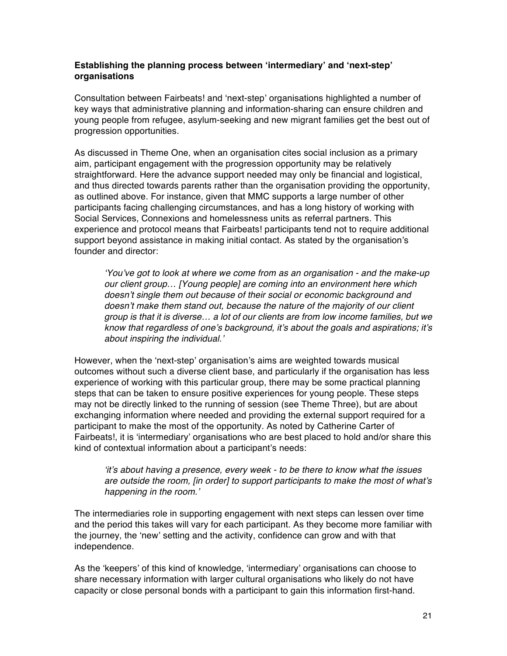### **Establishing the planning process between ʻintermediary' and ʻnext-step' organisations**

Consultation between Fairbeats! and ʻnext-step' organisations highlighted a number of key ways that administrative planning and information-sharing can ensure children and young people from refugee, asylum-seeking and new migrant families get the best out of progression opportunities.

As discussed in Theme One, when an organisation cites social inclusion as a primary aim, participant engagement with the progression opportunity may be relatively straightforward. Here the advance support needed may only be financial and logistical, and thus directed towards parents rather than the organisation providing the opportunity, as outlined above. For instance, given that MMC supports a large number of other participants facing challenging circumstances, and has a long history of working with Social Services, Connexions and homelessness units as referral partners. This experience and protocol means that Fairbeats! participants tend not to require additional support beyond assistance in making initial contact. As stated by the organisation's founder and director:

ʻ*You*'*ve got to look at where we come from as an organisation - and the make-up our client group… [Young people] are coming into an environment here which doesn*'*t single them out because of their social or economic background and doesn*'*t make them stand out, because the nature of the majority of our client group is that it is diverse… a lot of our clients are from low income families, but we know that regardless of one*'*s background, it*'*s about the goals and aspirations; it*'*s about inspiring the individual.*'

However, when the ʻnext-step' organisation's aims are weighted towards musical outcomes without such a diverse client base, and particularly if the organisation has less experience of working with this particular group, there may be some practical planning steps that can be taken to ensure positive experiences for young people. These steps may not be directly linked to the running of session (see Theme Three), but are about exchanging information where needed and providing the external support required for a participant to make the most of the opportunity. As noted by Catherine Carter of Fairbeats!, it is ʻintermediary' organisations who are best placed to hold and/or share this kind of contextual information about a participant's needs:

ʻ*it*'*s about having a presence, every week - to be there to know what the issues are outside the room, [in order] to support participants to make the most of what*'*s happening in the room.*'

The intermediaries role in supporting engagement with next steps can lessen over time and the period this takes will vary for each participant. As they become more familiar with the journey, the ʻnew' setting and the activity, confidence can grow and with that independence.

As the ʻkeepers' of this kind of knowledge, ʻintermediary' organisations can choose to share necessary information with larger cultural organisations who likely do not have capacity or close personal bonds with a participant to gain this information first-hand.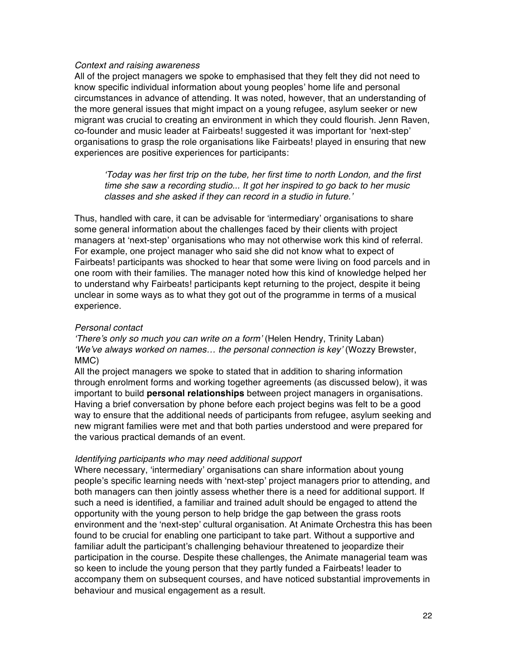#### *Context and raising awareness*

All of the project managers we spoke to emphasised that they felt they did not need to know specific individual information about young peoples' home life and personal circumstances in advance of attending. It was noted, however, that an understanding of the more general issues that might impact on a young refugee, asylum seeker or new migrant was crucial to creating an environment in which they could flourish. Jenn Raven, co-founder and music leader at Fairbeats! suggested it was important for ʻnext-step' organisations to grasp the role organisations like Fairbeats! played in ensuring that new experiences are positive experiences for participants:

ʻ*Today was her first trip on the tube, her first time to north London, and the first time she saw a recording studio... It got her inspired to go back to her music classes and she asked if they can record in a studio in future.*'

Thus, handled with care, it can be advisable for ʻintermediary' organisations to share some general information about the challenges faced by their clients with project managers at ʻnext-step' organisations who may not otherwise work this kind of referral. For example, one project manager who said she did not know what to expect of Fairbeats! participants was shocked to hear that some were living on food parcels and in one room with their families. The manager noted how this kind of knowledge helped her to understand why Fairbeats! participants kept returning to the project, despite it being unclear in some ways as to what they got out of the programme in terms of a musical experience.

#### *Personal contact*

ʻ*There*'*s only so much you can write on a form*' (Helen Hendry, Trinity Laban) ʻ*We*'*ve always worked on names… the personal connection is key*' (Wozzy Brewster, MMC)

All the project managers we spoke to stated that in addition to sharing information through enrolment forms and working together agreements (as discussed below), it was important to build **personal relationships** between project managers in organisations. Having a brief conversation by phone before each project begins was felt to be a good way to ensure that the additional needs of participants from refugee, asylum seeking and new migrant families were met and that both parties understood and were prepared for the various practical demands of an event.

#### *Identifying participants who may need additional support*

Where necessary, ʻintermediary' organisations can share information about young people's specific learning needs with ʻnext-step' project managers prior to attending, and both managers can then jointly assess whether there is a need for additional support. If such a need is identified, a familiar and trained adult should be engaged to attend the opportunity with the young person to help bridge the gap between the grass roots environment and the ʻnext-step' cultural organisation. At Animate Orchestra this has been found to be crucial for enabling one participant to take part. Without a supportive and familiar adult the participant's challenging behaviour threatened to jeopardize their participation in the course. Despite these challenges, the Animate managerial team was so keen to include the young person that they partly funded a Fairbeats! leader to accompany them on subsequent courses, and have noticed substantial improvements in behaviour and musical engagement as a result.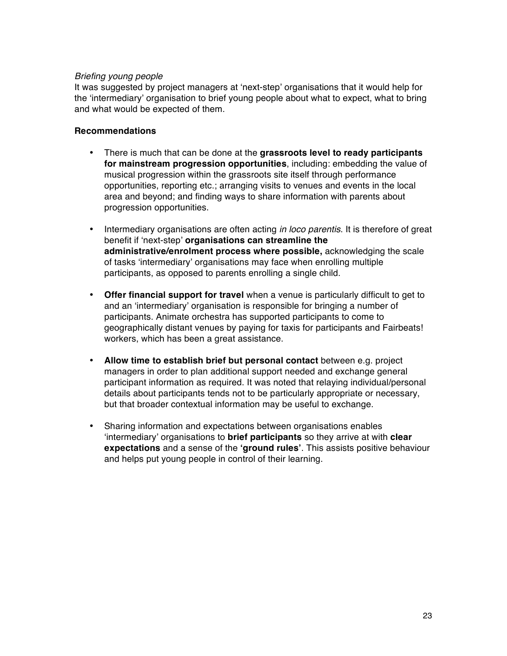### *Briefing young people*

It was suggested by project managers at ʻnext-step' organisations that it would help for the ʻintermediary' organisation to brief young people about what to expect, what to bring and what would be expected of them.

### **Recommendations**

- There is much that can be done at the **grassroots level to ready participants for mainstream progression opportunities**, including: embedding the value of musical progression within the grassroots site itself through performance opportunities, reporting etc.; arranging visits to venues and events in the local area and beyond; and finding ways to share information with parents about progression opportunities.
- Intermediary organisations are often acting *in loco parentis*. It is therefore of great benefit if ʻnext-step' **organisations can streamline the administrative/enrolment process where possible,** acknowledging the scale of tasks ʻintermediary' organisations may face when enrolling multiple participants, as opposed to parents enrolling a single child.
- **Offer financial support for travel** when a venue is particularly difficult to get to and an ʻintermediary' organisation is responsible for bringing a number of participants. Animate orchestra has supported participants to come to geographically distant venues by paying for taxis for participants and Fairbeats! workers, which has been a great assistance.
- **Allow time to establish brief but personal contact** between e.g. project managers in order to plan additional support needed and exchange general participant information as required. It was noted that relaying individual/personal details about participants tends not to be particularly appropriate or necessary, but that broader contextual information may be useful to exchange.
- Sharing information and expectations between organisations enables ʻintermediary' organisations to **brief participants** so they arrive at with **clear expectations** and a sense of the **ʻground rules'**. This assists positive behaviour and helps put young people in control of their learning.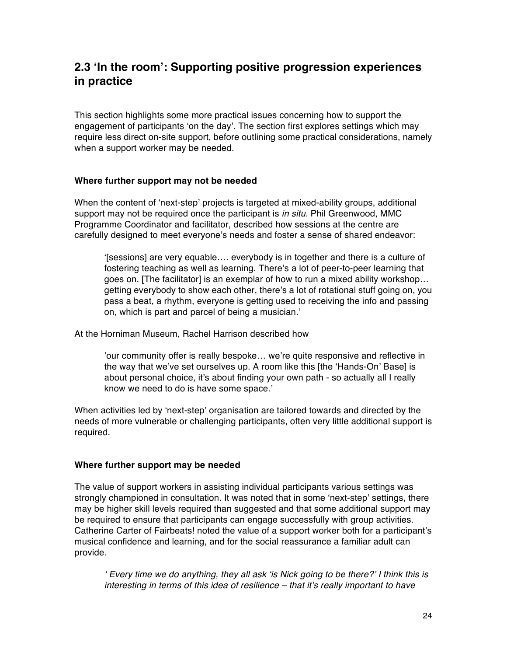### **2.3 ʻIn the room': Supporting positive progression experiences in practice**

This section highlights some more practical issues concerning how to support the engagement of participants ʻon the day'. The section first explores settings which may require less direct on-site support, before outlining some practical considerations, namely when a support worker may be needed.

### **Where further support may not be needed**

When the content of ʻnext-step' projects is targeted at mixed-ability groups, additional support may not be required once the participant is *in situ*. Phil Greenwood, MMC Programme Coordinator and facilitator, described how sessions at the centre are carefully designed to meet everyone's needs and foster a sense of shared endeavor:

ʻ[sessions] are very equable…. everybody is in together and there is a culture of fostering teaching as well as learning. There's a lot of peer-to-peer learning that goes on. [The facilitator] is an exemplar of how to run a mixed ability workshop… getting everybody to show each other, there's a lot of rotational stuff going on, you pass a beat, a rhythm, everyone is getting used to receiving the info and passing on, which is part and parcel of being a musician.'

At the Horniman Museum, Rachel Harrison described how

'our community offer is really bespoke… we're quite responsive and reflective in the way that we've set ourselves up. A room like this [the ʻHands-On' Base] is about personal choice, it's about finding your own path - so actually all I really know we need to do is have some space.'

When activities led by ʻnext-step' organisation are tailored towards and directed by the needs of more vulnerable or challenging participants, often very little additional support is required.

### **Where further support may be needed**

The value of support workers in assisting individual participants various settings was strongly championed in consultation. It was noted that in some ʻnext-step' settings, there may be higher skill levels required than suggested and that some additional support may be required to ensure that participants can engage successfully with group activities. Catherine Carter of Fairbeats! noted the value of a support worker both for a participant's musical confidence and learning, and for the social reassurance a familiar adult can provide.

ʻ *Every time we do anything, they all ask* ʻ*is Nick going to be there?*' *I think this is interesting in terms of this idea of resilience – that it*'*s really important to have*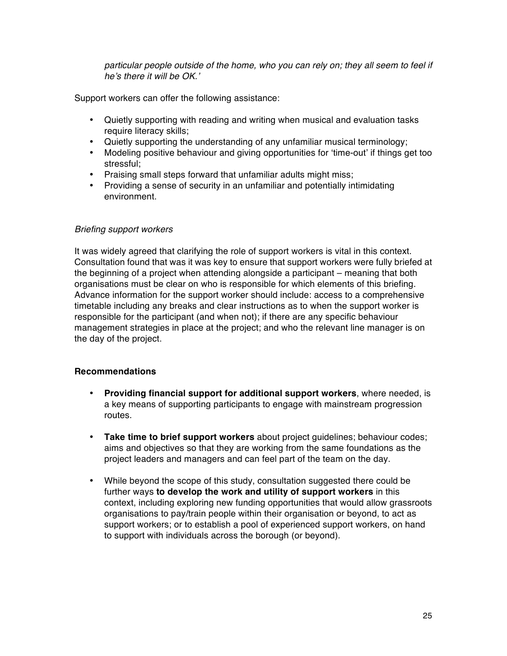*particular people outside of the home, who you can rely on; they all seem to feel if he*'*s there it will be OK.*'

Support workers can offer the following assistance:

- Quietly supporting with reading and writing when musical and evaluation tasks require literacy skills;
- Quietly supporting the understanding of any unfamiliar musical terminology;
- Modeling positive behaviour and giving opportunities for ʻtime-out' if things get too stressful;
- Praising small steps forward that unfamiliar adults might miss:
- Providing a sense of security in an unfamiliar and potentially intimidating environment.

### *Briefing support workers*

It was widely agreed that clarifying the role of support workers is vital in this context. Consultation found that was it was key to ensure that support workers were fully briefed at the beginning of a project when attending alongside a participant – meaning that both organisations must be clear on who is responsible for which elements of this briefing. Advance information for the support worker should include: access to a comprehensive timetable including any breaks and clear instructions as to when the support worker is responsible for the participant (and when not); if there are any specific behaviour management strategies in place at the project; and who the relevant line manager is on the day of the project.

### **Recommendations**

- **Providing financial support for additional support workers**, where needed, is a key means of supporting participants to engage with mainstream progression routes.
- **Take time to brief support workers** about project guidelines; behaviour codes; aims and objectives so that they are working from the same foundations as the project leaders and managers and can feel part of the team on the day.
- While beyond the scope of this study, consultation suggested there could be further ways **to develop the work and utility of support workers** in this context, including exploring new funding opportunities that would allow grassroots organisations to pay/train people within their organisation or beyond, to act as support workers; or to establish a pool of experienced support workers, on hand to support with individuals across the borough (or beyond).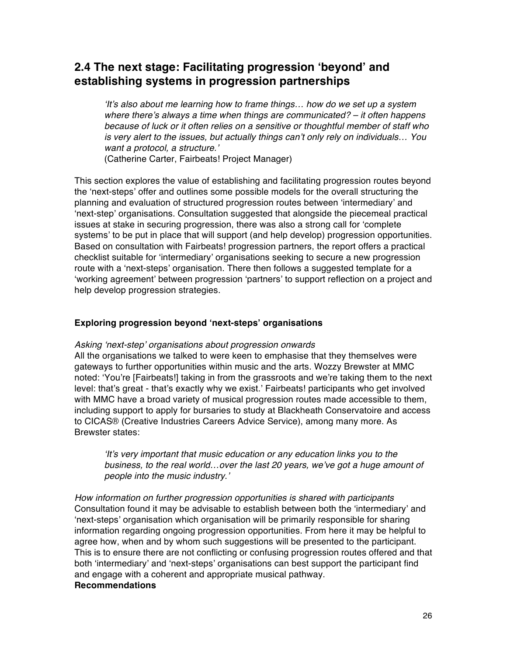### **2.4 The next stage: Facilitating progression ʻbeyond' and establishing systems in progression partnerships**

ʻ*It*'*s also about me learning how to frame things… how do we set up a system where there*'*s always a time when things are communicated? – it often happens because of luck or it often relies on a sensitive or thoughtful member of staff who is very alert to the issues, but actually things can*'*t only rely on individuals… You want a protocol, a structure.*'

(Catherine Carter, Fairbeats! Project Manager)

This section explores the value of establishing and facilitating progression routes beyond the ʻnext-steps' offer and outlines some possible models for the overall structuring the planning and evaluation of structured progression routes between ʻintermediary' and ʻnext-step' organisations. Consultation suggested that alongside the piecemeal practical issues at stake in securing progression, there was also a strong call for ʻcomplete systems' to be put in place that will support (and help develop) progression opportunities. Based on consultation with Fairbeats! progression partners, the report offers a practical checklist suitable for ʻintermediary' organisations seeking to secure a new progression route with a ʻnext-steps' organisation. There then follows a suggested template for a ʻworking agreement' between progression ʻpartners' to support reflection on a project and help develop progression strategies.

### **Exploring progression beyond ʻnext-steps' organisations**

### *Asking* ʻ*next-step*' *organisations about progression onwards*

All the organisations we talked to were keen to emphasise that they themselves were gateways to further opportunities within music and the arts. Wozzy Brewster at MMC noted: ʻYou're [Fairbeats!] taking in from the grassroots and we're taking them to the next level: that's great - that's exactly why we exist.' Fairbeats! participants who get involved with MMC have a broad variety of musical progression routes made accessible to them, including support to apply for bursaries to study at Blackheath Conservatoire and access to CICAS® (Creative Industries Careers Advice Service), among many more. As Brewster states:

ʻ*It*'*s very important that music education or any education links you to the business, to the real world…over the last 20 years, we*'*ve got a huge amount of people into the music industry.*'

*How information on further progression opportunities is shared with participants* Consultation found it may be advisable to establish between both the ʻintermediary' and ʻnext-steps' organisation which organisation will be primarily responsible for sharing information regarding ongoing progression opportunities. From here it may be helpful to agree how, when and by whom such suggestions will be presented to the participant. This is to ensure there are not conflicting or confusing progression routes offered and that both ʻintermediary' and ʻnext-steps' organisations can best support the participant find and engage with a coherent and appropriate musical pathway. **Recommendations**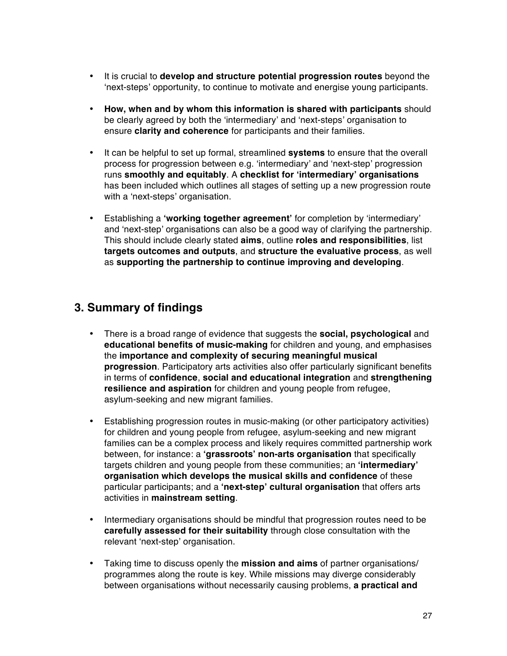- It is crucial to **develop and structure potential progression routes** beyond the ʻnext-steps' opportunity, to continue to motivate and energise young participants.
- **How, when and by whom this information is shared with participants** should be clearly agreed by both the ʻintermediary' and ʻnext-steps' organisation to ensure **clarity and coherence** for participants and their families.
- It can be helpful to set up formal, streamlined **systems** to ensure that the overall process for progression between e.g. ʻintermediary' and ʻnext-step' progression runs **smoothly and equitably**. A **checklist for ʻintermediary' organisations**  has been included which outlines all stages of setting up a new progression route with a ʻnext-steps' organisation.
- Establishing a **ʻworking together agreement'** for completion by ʻintermediary' and ʻnext-step' organisations can also be a good way of clarifying the partnership. This should include clearly stated **aims**, outline **roles and responsibilities**, list **targets outcomes and outputs**, and **structure the evaluative process**, as well as **supporting the partnership to continue improving and developing**.

### **3. Summary of findings**

- There is a broad range of evidence that suggests the **social, psychological** and **educational benefits of music-making** for children and young, and emphasises the **importance and complexity of securing meaningful musical progression**. Participatory arts activities also offer particularly significant benefits in terms of **confidence**, **social and educational integration** and **strengthening resilience and aspiration** for children and young people from refugee, asylum-seeking and new migrant families.
- Establishing progression routes in music-making (or other participatory activities) for children and young people from refugee, asylum-seeking and new migrant families can be a complex process and likely requires committed partnership work between, for instance: a **ʻgrassroots' non-arts organisation** that specifically targets children and young people from these communities; an **ʻintermediary' organisation which develops the musical skills and confidence** of these particular participants; and a **ʻnext-step' cultural organisation** that offers arts activities in **mainstream setting**.
- Intermediary organisations should be mindful that progression routes need to be **carefully assessed for their suitability** through close consultation with the relevant ʻnext-step' organisation.
- Taking time to discuss openly the **mission and aims** of partner organisations/ programmes along the route is key. While missions may diverge considerably between organisations without necessarily causing problems, **a practical and**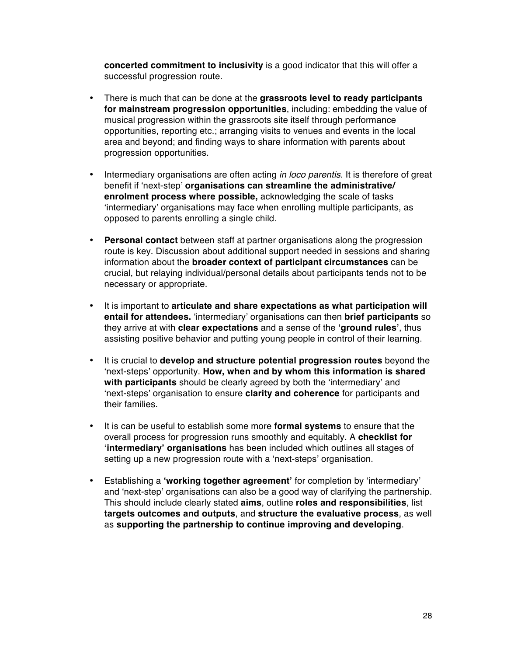**concerted commitment to inclusivity** is a good indicator that this will offer a successful progression route.

- There is much that can be done at the **grassroots level to ready participants for mainstream progression opportunities**, including: embedding the value of musical progression within the grassroots site itself through performance opportunities, reporting etc.; arranging visits to venues and events in the local area and beyond; and finding ways to share information with parents about progression opportunities.
- Intermediary organisations are often acting *in loco parentis*. It is therefore of great benefit if ʻnext-step' **organisations can streamline the administrative/ enrolment process where possible,** acknowledging the scale of tasks ʻintermediary' organisations may face when enrolling multiple participants, as opposed to parents enrolling a single child.
- **Personal contact** between staff at partner organisations along the progression route is key. Discussion about additional support needed in sessions and sharing information about the **broader context of participant circumstances** can be crucial, but relaying individual/personal details about participants tends not to be necessary or appropriate.
- It is important to **articulate and share expectations as what participation will entail for attendees.** ʻintermediary' organisations can then **brief participants** so they arrive at with **clear expectations** and a sense of the **ʻground rules'**, thus assisting positive behavior and putting young people in control of their learning.
- It is crucial to **develop and structure potential progression routes** beyond the ʻnext-steps' opportunity. **How, when and by whom this information is shared with participants** should be clearly agreed by both the ʻintermediary' and ʻnext-steps' organisation to ensure **clarity and coherence** for participants and their families.
- It is can be useful to establish some more **formal systems** to ensure that the overall process for progression runs smoothly and equitably. A **checklist for ʻintermediary' organisations** has been included which outlines all stages of setting up a new progression route with a ʻnext-steps' organisation.
- Establishing a **ʻworking together agreement'** for completion by ʻintermediary' and ʻnext-step' organisations can also be a good way of clarifying the partnership. This should include clearly stated **aims**, outline **roles and responsibilities**, list **targets outcomes and outputs**, and **structure the evaluative process**, as well as **supporting the partnership to continue improving and developing**.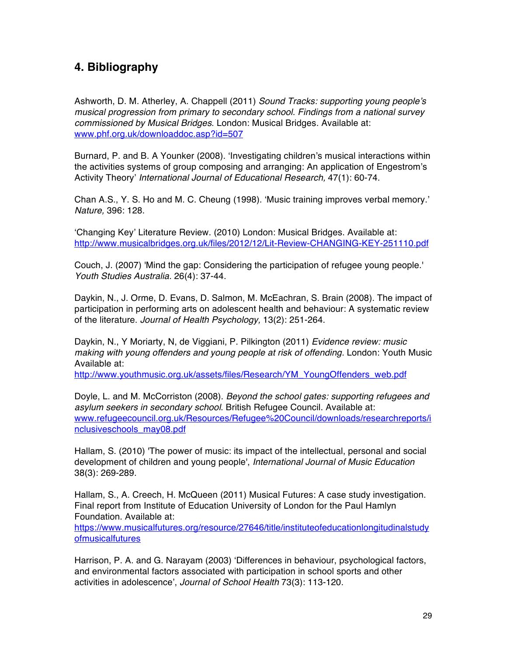### **4. Bibliography**

Ashworth, D. M. Atherley, A. Chappell (2011) *Sound Tracks: supporting young people*'*s musical progression from primary to secondary school. Findings from a national survey commissioned by Musical Bridges*. London: Musical Bridges. Available at: www.phf.org.uk/downloaddoc.asp?id=507

Burnard, P. and B. A Younker (2008). ʻInvestigating children's musical interactions within the activities systems of group composing and arranging: An application of Engestrom's Activity Theory' *International Journal of Educational Research,* 47(1): 60-74.

Chan A.S., Y. S. Ho and M. C. Cheung (1998). ʻMusic training improves verbal memory.' *Nature,* 396: 128.

ʻChanging Key' Literature Review. (2010) London: Musical Bridges. Available at: http://www.musicalbridges.org.uk/files/2012/12/Lit-Review-CHANGING-KEY-251110.pdf

Couch, J. (2007) 'Mind the gap: Considering the participation of refugee young people.' *Youth Studies Australia.* 26(4): 37-44.

Daykin, N., J. Orme, D. Evans, D. Salmon, M. McEachran, S. Brain (2008). The impact of participation in performing arts on adolescent health and behaviour: A systematic review of the literature. *Journal of Health Psychology,* 13(2): 251-264.

Daykin, N., Y Moriarty, N, de Viggiani, P. Pilkington (2011) *Evidence review: music making with young offenders and young people at risk of offending.* London: Youth Music Available at:

http://www.youthmusic.org.uk/assets/files/Research/YM\_YoungOffenders\_web.pdf

Doyle, L. and M. McCorriston (2008). *Beyond the school gates: supporting refugees and asylum seekers in secondary school*. British Refugee Council. Available at: www.refugeecouncil.org.uk/Resources/Refugee%20Council/downloads/researchreports/i nclusiveschools\_may08.pdf

Hallam, S. (2010) 'The power of music: its impact of the intellectual, personal and social development of children and young people', *International Journal of Music Education* 38(3): 269-289.

Hallam, S., A. Creech, H. McQueen (2011) Musical Futures: A case study investigation. Final report from Institute of Education University of London for the Paul Hamlyn Foundation. Available at:

https://www.musicalfutures.org/resource/27646/title/instituteofeducationlongitudinalstudy ofmusicalfutures

Harrison, P. A. and G. Narayam (2003) ʻDifferences in behaviour, psychological factors, and environmental factors associated with participation in school sports and other activities in adolescence', *Journal of School Health* 73(3): 113-120.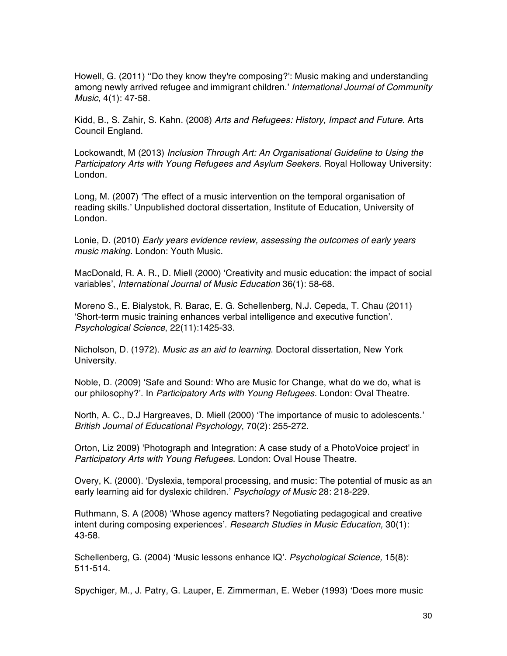Howell, G. (2011) ʻʻDo they know they're composing?': Music making and understanding among newly arrived refugee and immigrant children.' *International Journal of Community Music*, 4(1): 47-58.

Kidd, B., S. Zahir, S. Kahn. (2008) *Arts and Refugees: History, Impact and Future*. Arts Council England.

Lockowandt, M (2013) *Inclusion Through Art: An Organisational Guideline to Using the Participatory Arts with Young Refugees and Asylum Seekers. Royal Holloway University:* London.

Long, M. (2007) ʻThe effect of a music intervention on the temporal organisation of reading skills.' Unpublished doctoral dissertation, Institute of Education, University of London.

Lonie, D. (2010) *Early years evidence review, assessing the outcomes of early years music making.* London: Youth Music.

MacDonald, R. A. R., D. Miell (2000) ʻCreativity and music education: the impact of social variables', *International Journal of Music Education* 36(1): 58-68.

Moreno S., E. Bialystok, R. Barac, E. G. Schellenberg, N.J. Cepeda, T. Chau (2011) ʻShort-term music training enhances verbal intelligence and executive function'. *Psychological Science*, 22(11):1425-33.

Nicholson, D. (1972). *Music as an aid to learning*. Doctoral dissertation, New York University.

Noble, D. (2009) ʻSafe and Sound: Who are Music for Change, what do we do, what is our philosophy?'. In *Participatory Arts with Young Refugees.* London: Oval Theatre.

North, A. C., D.J Hargreaves, D. Miell (2000) ʻThe importance of music to adolescents.' *British Journal of Educational Psychology*, 70(2): 255-272.

Orton, Liz 2009) 'Photograph and Integration: A case study of a PhotoVoice project' in *Participatory Arts with Young Refugees*. London: Oval House Theatre.

Overy, K. (2000). ʻDyslexia, temporal processing, and music: The potential of music as an early learning aid for dyslexic children.' *Psychology of Music* 28: 218-229.

Ruthmann, S. A (2008) ʻWhose agency matters? Negotiating pedagogical and creative intent during composing experiences'. *Research Studies in Music Education,* 30(1): 43-58.

Schellenberg, G. (2004) ʻMusic lessons enhance IQ'. *Psychological Science,* 15(8): 511-514.

Spychiger, M., J. Patry, G. Lauper, E. Zimmerman, E. Weber (1993) ʻDoes more music